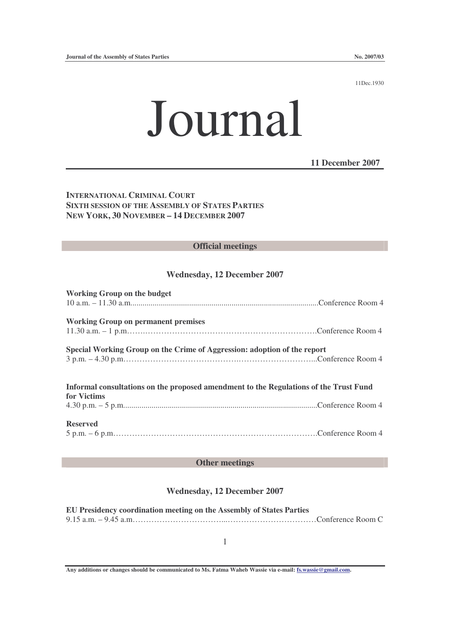11Dec.1930

# Journal

**11 December 2007**

**INTERNATIONAL CRIMINAL COURT SIXTH SESSION OF THE ASSEMBLY OF STATES PARTIES NEW YORK, 30 NOVEMBER – 14 DECEMBER 2007**

#### **Official meetings**

#### **Wednesday, 12 December 2007**

| <b>Working Group on the budget</b>                                                    |  |
|---------------------------------------------------------------------------------------|--|
|                                                                                       |  |
| <b>Working Group on permanent premises</b>                                            |  |
|                                                                                       |  |
| Special Working Group on the Crime of Aggression: adoption of the report              |  |
|                                                                                       |  |
| Informal consultations on the proposed amendment to the Regulations of the Trust Fund |  |
| for Victims                                                                           |  |
|                                                                                       |  |
| <b>Reserved</b>                                                                       |  |
|                                                                                       |  |

### **Other meetings**

#### **Wednesday, 12 December 2007**

| EU Presidency coordination meeting on the Assembly of States Parties |  |
|----------------------------------------------------------------------|--|
|                                                                      |  |

1

**Any additions or changes should be communicated to Ms. Fatma Waheb Wassie via e-mail: fs.wassie@gmail.com.**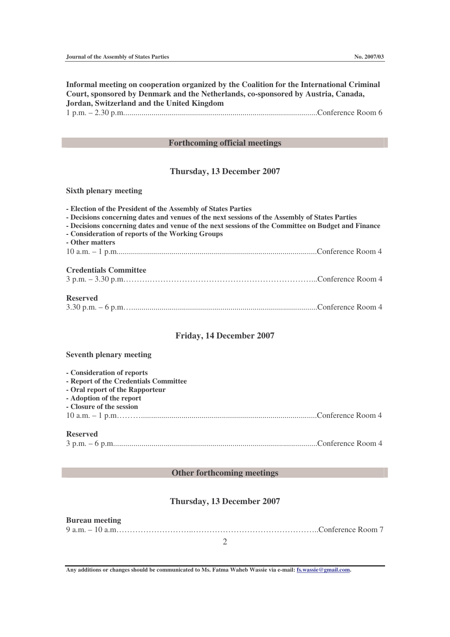**Informal meeting on cooperation organized by the Coalition for the International Criminal Court, sponsored by Denmark and the Netherlands, co-sponsored by Austria, Canada, Jordan, Switzerland and the United Kingdom** 1 p.m. – 2.30 p.m................................................................................................Conference Room 6

#### **Forthcoming official meetings**

## **Thursday, 13 December 2007**

#### **Sixth plenary meeting**

| - Election of the President of the Assembly of States Parties<br>- Decisions concerning dates and venues of the next sessions of the Assembly of States Parties<br>- Decisions concerning dates and venue of the next sessions of the Committee on Budget and Finance<br>- Consideration of reports of the Working Groups<br>- Other matters |  |  |
|----------------------------------------------------------------------------------------------------------------------------------------------------------------------------------------------------------------------------------------------------------------------------------------------------------------------------------------------|--|--|
|                                                                                                                                                                                                                                                                                                                                              |  |  |
| <b>Credentials Committee</b>                                                                                                                                                                                                                                                                                                                 |  |  |
| <b>Reserved</b>                                                                                                                                                                                                                                                                                                                              |  |  |

#### **Friday, 14 December 2007**

#### **Seventh plenary meeting**

| - Consideration of reports            |  |  |  |  |
|---------------------------------------|--|--|--|--|
| - Report of the Credentials Committee |  |  |  |  |
| - Oral report of the Rapporteur       |  |  |  |  |
| - Adoption of the report              |  |  |  |  |
| - Closure of the session              |  |  |  |  |
|                                       |  |  |  |  |
|                                       |  |  |  |  |
| <b>Reserved</b>                       |  |  |  |  |
|                                       |  |  |  |  |

#### **Other forthcoming meetings**

## **Thursday, 13 December 2007**

#### 2 **Bureau meeting** 9 a.m. – 10 a.m………………………..………………………………………..Conference Room 7